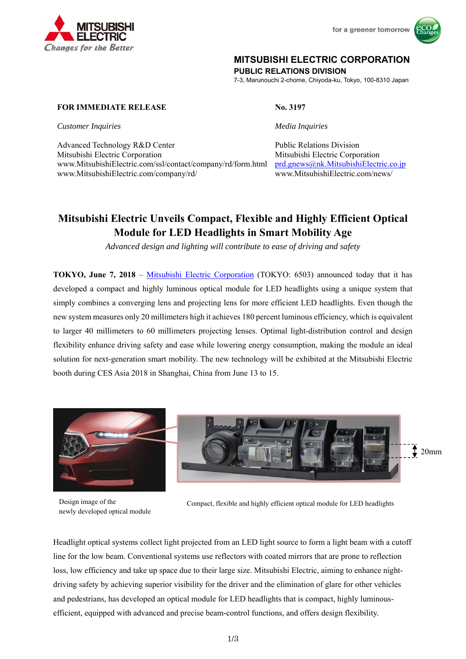



## **MITSUBISHI ELECTRIC CORPORATION**

**PUBLIC RELATIONS DIVISION** 

7-3, Marunouchi 2-chome, Chiyoda-ku, Tokyo, 100-8310 Japan

### **FOR IMMEDIATE RELEASE No. 3197**

*Customer Inquiries Media Inquiries* 

Advanced Technology R&D Center **Public Relations Division** Mitsubishi Electric Corporation Mitsubishi Electric Corporation www.MitsubishiElectric.com/ssl/contact/company/rd/form.html prd.gnews@nk.MitsubishiElectric.co.jp www.MitsubishiElectric.com/company/rd/ www.MitsubishiElectric.com/news/

# **Mitsubishi Electric Unveils Compact, Flexible and Highly Efficient Optical Module for LED Headlights in Smart Mobility Age**

*Advanced design and lighting will contribute to ease of driving and safety* 

**TOKYO, June 7, 2018** – Mitsubishi Electric Corporation (TOKYO: 6503) announced today that it has developed a compact and highly luminous optical module for LED headlights using a unique system that simply combines a converging lens and projecting lens for more efficient LED headlights. Even though the new system measures only 20 millimeters high it achieves 180 percent luminous efficiency, which is equivalent to larger 40 millimeters to 60 millimeters projecting lenses. Optimal light-distribution control and design flexibility enhance driving safety and ease while lowering energy consumption, making the module an ideal solution for next-generation smart mobility. The new technology will be exhibited at the Mitsubishi Electric booth during CES Asia 2018 in Shanghai, China from June 13 to 15.



Design image of the newly developed optical module



Compact, flexible and highly efficient optical module for LED headlights

Headlight optical systems collect light projected from an LED light source to form a light beam with a cutoff line for the low beam. Conventional systems use reflectors with coated mirrors that are prone to reflection loss, low efficiency and take up space due to their large size. Mitsubishi Electric, aiming to enhance nightdriving safety by achieving superior visibility for the driver and the elimination of glare for other vehicles and pedestrians, has developed an optical module for LED headlights that is compact, highly luminousefficient, equipped with advanced and precise beam-control functions, and offers design flexibility.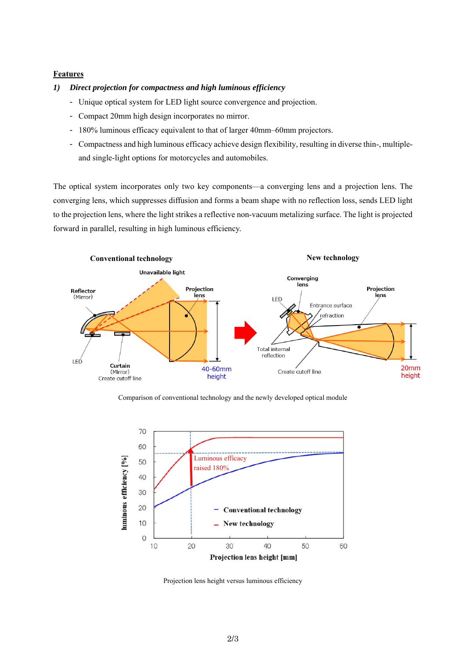#### **Features**

#### *1) Direct projection for compactness and high luminous efficiency*

- Unique optical system for LED light source convergence and projection.
- Compact 20mm high design incorporates no mirror.
- 180% luminous efficacy equivalent to that of larger 40mm–60mm projectors.
- Compactness and high luminous efficacy achieve design flexibility, resulting in diverse thin-, multipleand single-light options for motorcycles and automobiles.

The optical system incorporates only two key components—a converging lens and a projection lens. The converging lens, which suppresses diffusion and forms a beam shape with no reflection loss, sends LED light to the projection lens, where the light strikes a reflective non-vacuum metalizing surface. The light is projected forward in parallel, resulting in high luminous efficiency.



Comparison of conventional technology and the newly developed optical module



Projection lens height versus luminous efficiency